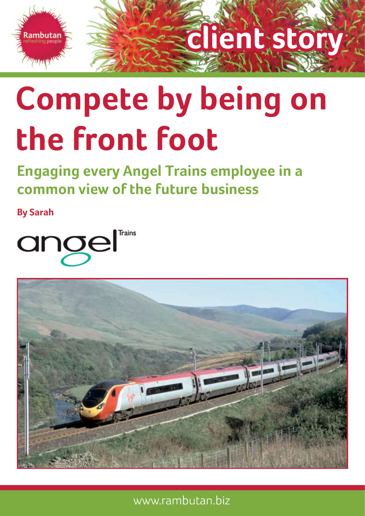

# **client story**

# **Compete by being on the front foot**

**Engaging every Angel Trains employee in a common view of the future business**

**By Sarah**

angel



www.rambutan.biz